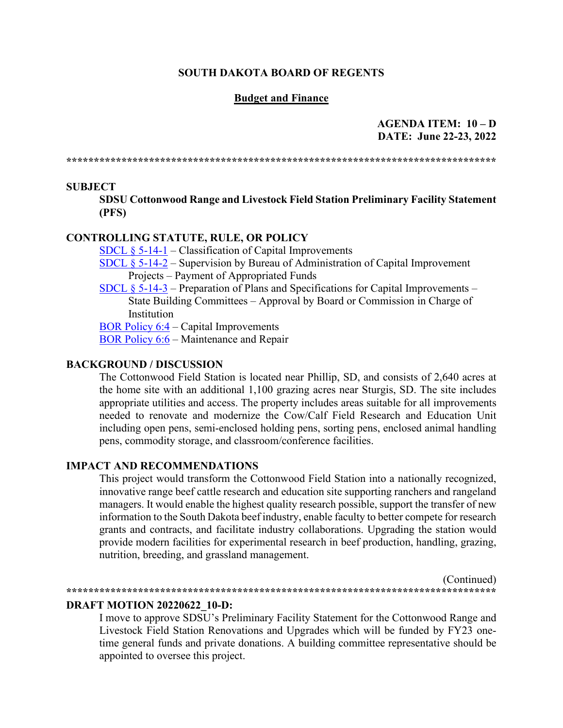#### **SOUTH DAKOTA BOARD OF REGENTS**

#### **Budget and Finance**

### **AGENDA ITEM: 10 – D DATE: June 22-23, 2022**

**\*\*\*\*\*\*\*\*\*\*\*\*\*\*\*\*\*\*\*\*\*\*\*\*\*\*\*\*\*\*\*\*\*\*\*\*\*\*\*\*\*\*\*\*\*\*\*\*\*\*\*\*\*\*\*\*\*\*\*\*\*\*\*\*\*\*\*\*\*\*\*\*\*\*\*\*\*\***

#### **SUBJECT**

**SDSU Cottonwood Range and Livestock Field Station Preliminary Facility Statement (PFS)**

### **CONTROLLING STATUTE, RULE, OR POLICY**

- SDCL  $\S$  5-14-1 Classification of Capital Improvements
- [SDCL § 5-14-2](https://sdlegislature.gov/Statutes/Codified_Laws/2034434) Supervision by Bureau of Administration of Capital Improvement Projects – Payment of Appropriated Funds
- [SDCL § 5-14-3](https://sdlegislature.gov/Statutes/Codified_Laws/2034435) Preparation of Plans and Specifications for Capital Improvements State Building Committees – Approval by Board or Commission in Charge of **Institution**

BOR Policy 6:4 – [Capital Improvements](https://www.sdbor.edu/policy/documents/6-4.pdf)

[BOR Policy 6:6](https://www.sdbor.edu/policy/documents/6-6.pdf) – Maintenance and Repair

### **BACKGROUND / DISCUSSION**

The Cottonwood Field Station is located near Phillip, SD, and consists of 2,640 acres at the home site with an additional 1,100 grazing acres near Sturgis, SD. The site includes appropriate utilities and access. The property includes areas suitable for all improvements needed to renovate and modernize the Cow/Calf Field Research and Education Unit including open pens, semi-enclosed holding pens, sorting pens, enclosed animal handling pens, commodity storage, and classroom/conference facilities.

#### **IMPACT AND RECOMMENDATIONS**

This project would transform the Cottonwood Field Station into a nationally recognized, innovative range beef cattle research and education site supporting ranchers and rangeland managers. It would enable the highest quality research possible, support the transfer of new information to the South Dakota beef industry, enable faculty to better compete for research grants and contracts, and facilitate industry collaborations. Upgrading the station would provide modern facilities for experimental research in beef production, handling, grazing, nutrition, breeding, and grassland management.

(Continued) **\*\*\*\*\*\*\*\*\*\*\*\*\*\*\*\*\*\*\*\*\*\*\*\*\*\*\*\*\*\*\*\*\*\*\*\*\*\*\*\*\*\*\*\*\*\*\*\*\*\*\*\*\*\*\*\*\*\*\*\*\*\*\*\*\*\*\*\*\*\*\*\*\*\*\*\*\*\***

#### **DRAFT MOTION 20220622\_10-D:**

I move to approve SDSU's Preliminary Facility Statement for the Cottonwood Range and Livestock Field Station Renovations and Upgrades which will be funded by FY23 onetime general funds and private donations. A building committee representative should be appointed to oversee this project.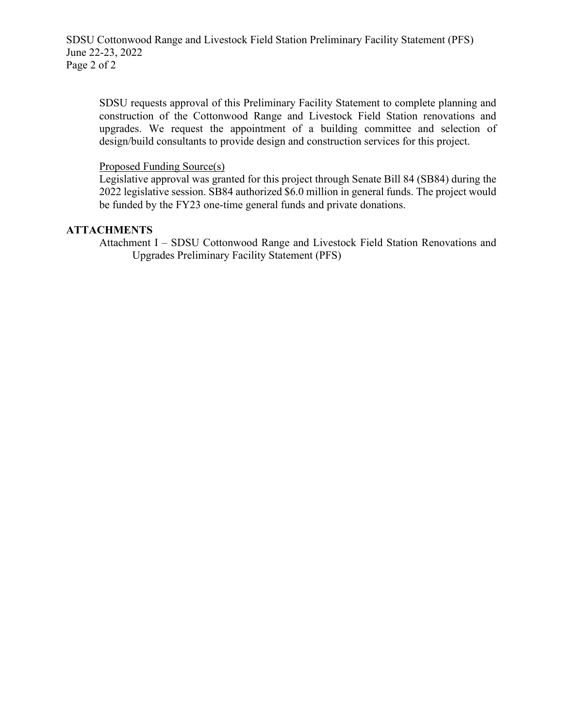SDSU Cottonwood Range and Livestock Field Station Preliminary Facility Statement (PFS) June 22-23, 2022 Page 2 of 2

SDSU requests approval of this Preliminary Facility Statement to complete planning and construction of the Cottonwood Range and Livestock Field Station renovations and upgrades. We request the appointment of a building committee and selection of design/build consultants to provide design and construction services for this project.

#### Proposed Funding Source(s)

Legislative approval was granted for this project through Senate Bill 84 (SB84) during the 2022 legislative session. SB84 authorized \$6.0 million in general funds. The project would be funded by the FY23 one-time general funds and private donations.

#### **ATTACHMENTS**

Attachment I – SDSU Cottonwood Range and Livestock Field Station Renovations and Upgrades Preliminary Facility Statement (PFS)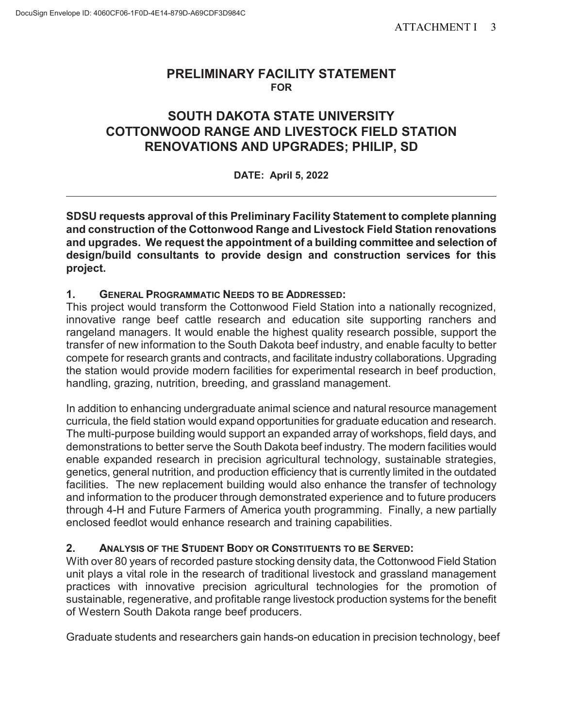## **PRELIMINARY FACILITY STATEMENT FOR**

# **SOUTH DAKOTA STATE UNIVERSITY COTTONWOOD RANGE AND LIVESTOCK FIELD STATION RENOVATIONS AND UPGRADES; PHILIP, SD**

## **DATE: April 5, 2022**

**SDSU requests approval of this Preliminary Facility Statement to complete planning and construction of the Cottonwood Range and Livestock Field Station renovations and upgrades. We request the appointment of a building committee and selection of design/build consultants to provide design and construction services for this project.** 

## **1. GENERAL PROGRAMMATIC NEEDS TO BE ADDRESSED:**

This project would transform the Cottonwood Field Station into a nationally recognized, innovative range beef cattle research and education site supporting ranchers and rangeland managers. It would enable the highest quality research possible, support the transfer of new information to the South Dakota beef industry, and enable faculty to better compete for research grants and contracts, and facilitate industry collaborations. Upgrading the station would provide modern facilities for experimental research in beef production, handling, grazing, nutrition, breeding, and grassland management.

In addition to enhancing undergraduate animal science and natural resource management curricula, the field station would expand opportunities for graduate education and research. The multi-purpose building would support an expanded array of workshops, field days, and demonstrations to better serve the South Dakota beef industry. The modern facilities would enable expanded research in precision agricultural technology, sustainable strategies, genetics, general nutrition, and production efficiency that is currently limited in the outdated facilities. The new replacement building would also enhance the transfer of technology and information to the producer through demonstrated experience and to future producers through 4-H and Future Farmers of America youth programming. Finally, a new partially enclosed feedlot would enhance research and training capabilities.

## **2. ANALYSIS OF THE STUDENT BODY OR CONSTITUENTS TO BE SERVED:**

With over 80 years of recorded pasture stocking density data, the Cottonwood Field Station unit plays a vital role in the research of traditional livestock and grassland management practices with innovative precision agricultural technologies for the promotion of sustainable, regenerative, and profitable range livestock production systems for the benefit of Western South Dakota range beef producers.

Graduate students and researchers gain hands-on education in precision technology, beef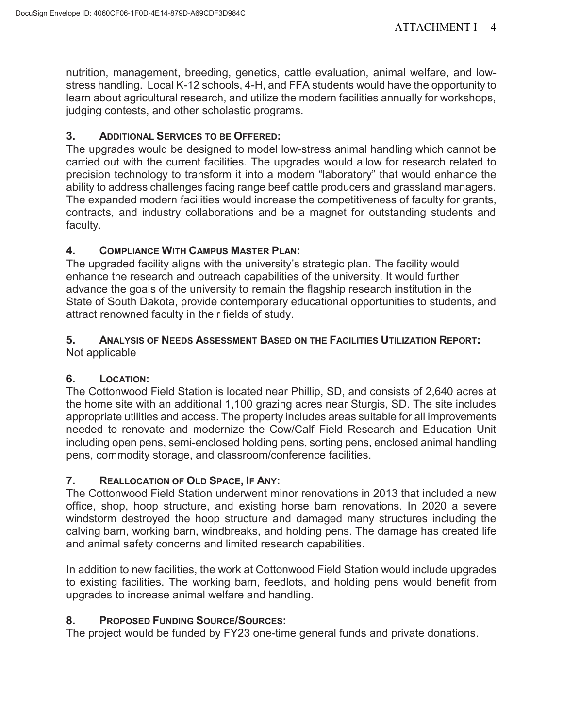nutrition, management, breeding, genetics, cattle evaluation, animal welfare, and lowstress handling. Local K-12 schools, 4-H, and FFA students would have the opportunity to learn about agricultural research, and utilize the modern facilities annually for workshops, judging contests, and other scholastic programs.

## **3. ADDITIONAL SERVICES TO BE OFFERED:**

The upgrades would be designed to model low-stress animal handling which cannot be carried out with the current facilities. The upgrades would allow for research related to precision technology to transform it into a modern "laboratory" that would enhance the ability to address challenges facing range beef cattle producers and grassland managers. The expanded modern facilities would increase the competitiveness of faculty for grants, contracts, and industry collaborations and be a magnet for outstanding students and faculty.

## **4. COMPLIANCE WITH CAMPUS MASTER PLAN:**

The upgraded facility aligns with the university's strategic plan. The facility would enhance the research and outreach capabilities of the university. It would further advance the goals of the university to remain the flagship research institution in the State of South Dakota, provide contemporary educational opportunities to students, and attract renowned faculty in their fields of study.

## **5. ANALYSIS OF NEEDS ASSESSMENT BASED ON THE FACILITIES UTILIZATION REPORT:** Not applicable

# **6. LOCATION:**

The Cottonwood Field Station is located near Phillip, SD, and consists of 2,640 acres at the home site with an additional 1,100 grazing acres near Sturgis, SD. The site includes appropriate utilities and access. The property includes areas suitable for all improvements needed to renovate and modernize the Cow/Calf Field Research and Education Unit including open pens, semi-enclosed holding pens, sorting pens, enclosed animal handling pens, commodity storage, and classroom/conference facilities.

# **7. REALLOCATION OF OLD SPACE, IF ANY:**

The Cottonwood Field Station underwent minor renovations in 2013 that included a new office, shop, hoop structure, and existing horse barn renovations. In 2020 a severe windstorm destroyed the hoop structure and damaged many structures including the calving barn, working barn, windbreaks, and holding pens. The damage has created life and animal safety concerns and limited research capabilities.

In addition to new facilities, the work at Cottonwood Field Station would include upgrades to existing facilities. The working barn, feedlots, and holding pens would benefit from upgrades to increase animal welfare and handling.

## **8. PROPOSED FUNDING SOURCE/SOURCES:**

The project would be funded by FY23 one-time general funds and private donations.